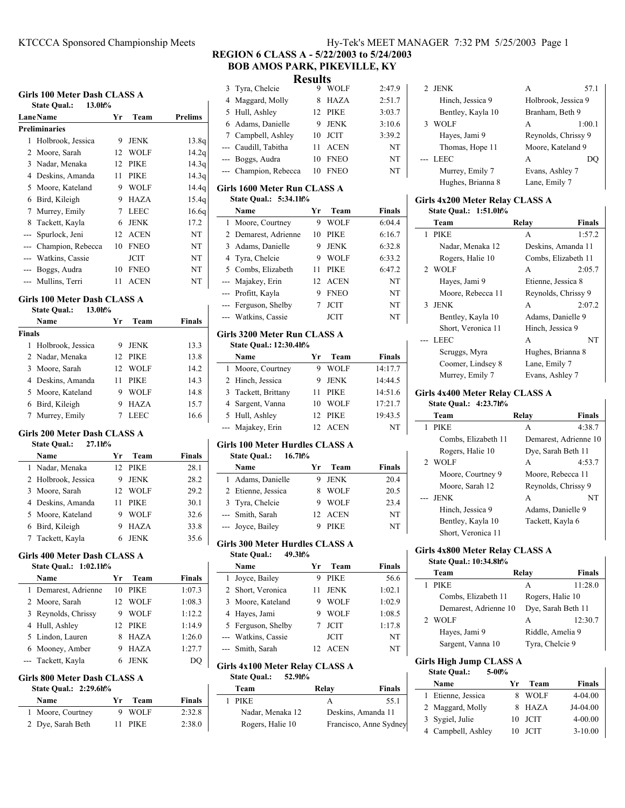# **Girls 100 Meter Dash CLASS A**

| МПІЯ IVV ІМЕІСІ <i>D</i> asii Class A            |                               |    |             |                   |  |
|--------------------------------------------------|-------------------------------|----|-------------|-------------------|--|
|                                                  | <b>State Qual.:</b><br>13.0h% |    |             |                   |  |
| <b>Prelims</b><br><b>Lane Name</b><br>Team<br>Yr |                               |    |             |                   |  |
|                                                  | <b>Preliminaries</b>          |    |             |                   |  |
| 1                                                | Holbrook, Jessica             | 9  | <b>JENK</b> | 13.8q             |  |
|                                                  | 2 Moore, Sarah                | 12 | <b>WOLF</b> | 14.2q             |  |
|                                                  | 3 Nadar, Menaka               | 12 | <b>PIKE</b> | 14.3q             |  |
|                                                  | 4 Deskins, Amanda             | 11 | <b>PIKE</b> | 14.3q             |  |
|                                                  | 5 Moore, Kateland             | 9  | <b>WOLF</b> | 14.4q             |  |
|                                                  | 6 Bird, Kileigh               | 9  | HAZA        | 15.4q             |  |
| 7                                                | Murrey, Emily                 | 7  | <b>LEEC</b> | 16.6 <sub>q</sub> |  |
| 8                                                | Tackett, Kayla                | 6  | <b>JENK</b> | 17.2              |  |
|                                                  | --- Spurlock, Jeni            | 12 | <b>ACEN</b> | NT                |  |
|                                                  | --- Champion, Rebecca         | 10 | <b>FNEO</b> | NT                |  |
|                                                  | --- Watkins, Cassie           |    | <b>JCIT</b> | NT                |  |
|                                                  | --- Boggs, Audra              | 10 | <b>FNEO</b> | NT                |  |
|                                                  | --- Mullins, Terri            | 11 | ACEN        | NT                |  |

## **Girls 100 Meter Dash CLASS A**

| <b>State Qual.:</b> | 13.0h% |
|---------------------|--------|
|---------------------|--------|

|        | Name                | Vr | Team        | Finals |
|--------|---------------------|----|-------------|--------|
| Finals |                     |    |             |        |
|        | 1 Holbrook, Jessica | 9  | <b>JENK</b> | 13.3   |
|        | 2 Nadar, Menaka     |    | 12 PIKE     | 13.8   |
|        | 3 Moore, Sarah      | 12 | - WOLF      | 14.2   |
|        | 4 Deskins, Amanda   | 11 | <b>PIKE</b> | 14.3   |
|        | 5 Moore, Kateland   | 9  | WOLF        | 14.8   |
|        | 6 Bird, Kileigh     |    | <b>HAZA</b> | 15.7   |
|        | 7 Murrey, Emily     |    | LEEC        | 16.6   |

## **Girls 200 Meter Dash CLASS A**

|  |  | <b>State Qual.:</b> | 27.1h% |
|--|--|---------------------|--------|
|--|--|---------------------|--------|

| Name                | Уr | Team        | <b>Finals</b> |
|---------------------|----|-------------|---------------|
| 1 Nadar, Menaka     |    | 12 PIKE     | 28.1          |
| 2 Holbrook, Jessica | 9  | <b>JENK</b> | 28.2          |
| 3 Moore, Sarah      |    | 12 WOLF     | 29.2          |
| 4 Deskins, Amanda   | 11 | PIKE        | 30.1          |
| 5 Moore, Kateland   | 9  | <b>WOLF</b> | 32.6          |
| 6 Bird, Kileigh     |    | <b>HAZA</b> | 33.8          |
| 7 Tackett, Kayla    |    | 6 JENK      | 35.6          |
|                     |    |             |               |

# **Girls 400 Meter Dash CLASS A State Qual.: 1:02.1h%**

| Name                 | Yг | Team        | <b>Finals</b> |
|----------------------|----|-------------|---------------|
| 1 Demarest, Adrienne | 10 | <b>PIKE</b> | 1:07.3        |
| 2 Moore, Sarah       | 12 | WOLF        | 1:08.3        |
| 3 Reynolds, Chrissy  | 9  | <b>WOLF</b> | 1:12.2        |
| 4 Hull, Ashley       |    | 12 PIKE     | 1:14.9        |
| 5 Lindon, Lauren     | 8  | <b>HAZA</b> | 1:26.0        |
| 6 Mooney, Amber      | 9  | <b>HAZA</b> | 1:27.7        |
| --- Tackett, Kayla   |    | <b>JENK</b> | DO.           |

## **Girls 800 Meter Dash CLASS A**

| State Qual.: 2:29.6h% |     |         |        |
|-----------------------|-----|---------|--------|
| Name                  | Vr. | Team    | Finals |
| 1 Moore, Courtney     |     | 9 WOLF  | 2:32.8 |
| 2 Dye, Sarah Beth     |     | 11 PIKE | 2:38.0 |

# **REGION 6 CLASS A - 5/22/2003 to 5/24/2003 BOB AMOS PARK, PIKEVILLE, KY**

|  | <b>Results</b> |
|--|----------------|
|  | YYYOY T        |

| 3              | Tyra, Chelcie                              | 9                | WOLF                       | 2:47.9                   |
|----------------|--------------------------------------------|------------------|----------------------------|--------------------------|
| 4              | Maggard, Molly                             | 8                | <b>HAZA</b>                | 2:51.7                   |
| 5              | Hull, Ashley                               | 12               | PIKE                       | 3:03.7                   |
| 6              | Adams, Danielle                            | 9                | <b>JENK</b>                | 3:10.6                   |
| 7              | Campbell, Ashley                           | 10               | <b>JCIT</b>                | 3:39.2                   |
|                | --- Caudill, Tabitha                       | 11               | <b>ACEN</b>                | NT                       |
| ---            | Boggs, Audra                               | 10               | <b>FNEO</b>                | NT                       |
| ---            | Champion, Rebecca                          | 10               | <b>FNEO</b>                | NT                       |
|                | Girls 1600 Meter Run CLASS A               |                  |                            |                          |
|                | <b>State Qual.:</b><br>5:34.1h%            |                  |                            |                          |
|                | Name                                       | Yr               | Team                       | <b>Finals</b>            |
| 1              | Moore, Courtney                            | 9                | <b>WOLF</b>                | 6:04.4                   |
| $\overline{c}$ | Demarest, Adrienne                         | 10               | PIKE                       | 6:16.7                   |
| 3              | Adams, Danielle                            | 9                | <b>JENK</b>                | 6:32.8                   |
| 4              | Tyra, Chelcie                              | 9                | <b>WOLF</b>                | 6:33.2                   |
| 5              | Combs, Elizabeth                           | 11               | PIKE                       | 6:47.2                   |
| $---$          | Majakey, Erin                              | 12               | <b>ACEN</b>                | NT                       |
| ---            | Profitt, Kayla                             | 9                | <b>FNEO</b>                | NT                       |
| ---            | Ferguson, Shelby                           | $\boldsymbol{7}$ | <b>JCIT</b>                | NΤ                       |
| ---            | Watkins, Cassie                            |                  | <b>JCIT</b>                | NT                       |
|                |                                            |                  |                            |                          |
|                | Girls 3200 Meter Run CLASS A               |                  |                            |                          |
|                | State Qual.: 12:30.4h%                     |                  |                            |                          |
| 1              | Name                                       | Yr<br>9          | Team<br><b>WOLF</b>        | <b>Finals</b><br>14:17.7 |
| 2              | Moore, Courtney<br>Hinch, Jessica          | 9                | <b>JENK</b>                | 14:44.5                  |
| 3              | Tackett, Brittany                          | 11               | <b>PIKE</b>                | 14:51.6                  |
| 4              | Sargent, Vanna                             | 10               | <b>WOLF</b>                | 17:21.7                  |
| 5              | Hull, Ashley                               | 12               | <b>PIKE</b>                | 19:43.5                  |
| ---            | Majakey, Erin                              | 12               | <b>ACEN</b>                | NT                       |
|                |                                            |                  |                            |                          |
|                | <b>Girls 100 Meter Hurdles CLASS A</b>     |                  |                            |                          |
|                | 16.7 <sub>h</sub> %<br><b>State Qual.:</b> |                  |                            |                          |
|                | Name                                       | Yr               | Team                       | Finals                   |
| 1<br>2         | Adams, Danielle<br>Etienne, Jessica        | 9.               | JENK<br><b>WOLF</b>        | 20.4<br>20.5             |
|                | Tyra, Chelcie                              | 8                |                            |                          |
| 3              | --- Smith, Sarah                           | 9<br>12          | <b>WOLF</b><br><b>ACEN</b> | 23.4<br>NT               |
| $\overline{a}$ | Joyce, Bailey                              | 9                | PIKE                       | NT                       |
|                |                                            |                  |                            |                          |
|                | Girls 300 Meter Hurdles CLASS A            |                  |                            |                          |
|                | <b>State Qual.:</b><br>49.3h%              |                  |                            |                          |
|                | Name                                       | Yr               | Team                       | Finals                   |
| 1              | Joyce, Bailey                              | 9                | PIKE                       | 56.6                     |
| 2              | Short, Veronica                            | 11               | JENK                       | 1:02.1                   |
| 3              | Moore, Kateland                            | 9                | WOLF                       | 1:02.9                   |
| 4              | Hayes, Jami                                | 9                | WOLF                       | 1:08.5                   |
| 5              | Ferguson, Shelby                           | 7                | <b>JCIT</b>                | 1:17.8                   |
| $---$          | Watkins, Cassie                            |                  | JCIT                       | NT                       |
| $---$          | Smith, Sarah                               | 12               | ACEN                       | NT                       |
|                | <b>Girls 4x100 Meter Relay CLASS A</b>     |                  |                            |                          |
|                | <b>State Qual.:</b><br>52.9h%              |                  |                            |                          |
|                | Team                                       |                  | Relay                      | Finals                   |
| 1              | PIKE                                       |                  |                            | 55.1                     |
|                | Nadar, Menaka 12                           |                  |                            | Deskins, Amanda 11       |
|                |                                            |                  |                            |                          |
|                | Rogers, Halie 10                           |                  |                            | Francisco, Anne Sydney   |

| 2 JENK            |                     | 57.1   |  |
|-------------------|---------------------|--------|--|
| Hinch, Jessica 9  | Holbrook, Jessica 9 |        |  |
| Bentley, Kayla 10 | Branham, Beth 9     |        |  |
| <b>WOLF</b>       | A                   | 1:00.1 |  |
| Hayes, Jami 9     | Reynolds, Chrissy 9 |        |  |
| Thomas, Hope 11   | Moore, Kateland 9   |        |  |
| $-$ LEEC          | A                   |        |  |
| Murrey, Emily 7   | Evans, Ashley 7     |        |  |
| Hughes, Brianna 8 | Lane, Emily 7       |        |  |

### **Girls 4x200 Meter Relay CLASS A State Qual.: 1:51.0h%**

|                                 | Team               | Relay              | Finals              |  |
|---------------------------------|--------------------|--------------------|---------------------|--|
|                                 | 1 PIKE             | A                  | 1:57.2              |  |
|                                 | Nadar, Menaka 12   |                    | Deskins, Amanda 11  |  |
|                                 | Rogers, Halie 10   |                    | Combs, Elizabeth 11 |  |
|                                 | 2 WOLF             | A                  | 2:05.7              |  |
| Hayes, Jami 9                   |                    | Etienne, Jessica 8 |                     |  |
|                                 | Moore, Rebecca 11  |                    | Reynolds, Chrissy 9 |  |
|                                 | 3 JENK             | A                  | 2:07.2              |  |
|                                 | Bentley, Kayla 10  | Adams, Danielle 9  |                     |  |
|                                 | Short, Veronica 11 | Hinch, Jessica 9   |                     |  |
|                                 | --- LEEC           | A                  | NT                  |  |
|                                 | Scruggs, Myra      | Hughes, Brianna 8  |                     |  |
| Coomer, Lindsey 8               |                    | Lane, Emily 7      |                     |  |
|                                 | Murrey, Emily 7    | Evans, Ashley 7    |                     |  |
| Girls 4x400 Meter Relay CLASS A |                    |                    |                     |  |

# **State Qual.: 4:23.7h%**

|   | Team                | Relay               | <b>Finals</b>         |
|---|---------------------|---------------------|-----------------------|
| 1 | <b>PIKE</b>         | A                   | 4:38.7                |
|   | Combs, Elizabeth 11 |                     | Demarest, Adrienne 10 |
|   | Rogers, Halie 10    | Dye, Sarah Beth 11  |                       |
|   | 2 WOLF              | A                   | 4:53.7                |
|   | Moore, Courtney 9   | Moore, Rebecca 11   |                       |
|   | Moore, Sarah 12     | Reynolds, Chrissy 9 |                       |
|   | --- JENK            | A                   | NT                    |
|   | Hinch, Jessica 9    | Adams, Danielle 9   |                       |
|   | Bentley, Kayla 10   | Tackett, Kayla 6    |                       |
|   | Short, Veronica 11  |                     |                       |

### **Girls 4x800 Meter Relay CLASS A State Qual.: 10:34.8h%**

| Team                  | Relay              | <b>Finals</b> |
|-----------------------|--------------------|---------------|
| <b>PIKE</b>           | A                  | 11:28.0       |
| Combs, Elizabeth 11   | Rogers, Halie 10   |               |
| Demarest, Adrienne 10 | Dye, Sarah Beth 11 |               |
| 2 WOLF                | A                  | 12:30.7       |
| Hayes, Jami 9         | Riddle, Amelia 9   |               |
| Sargent, Vanna 10     | Tyra, Chelcie 9    |               |

#### **Girls High Jump CLASS A State Qual.: 5-00%**

| state Qual.:<br>3-VV70 |    |             |               |
|------------------------|----|-------------|---------------|
| Name                   | Yг | Team        | <b>Finals</b> |
| 1 Etienne, Jessica     |    | <b>WOLF</b> | $4 - 04.00$   |
| 2 Maggard, Molly       |    | 8 HAZA      | $J4-04.00$    |
| 3 Sygiel, Julie        | 10 | JCIT        | $4 - 00.00$   |
| 4 Campbell, Ashley     | 10 | JCIT        | $3-10.00$     |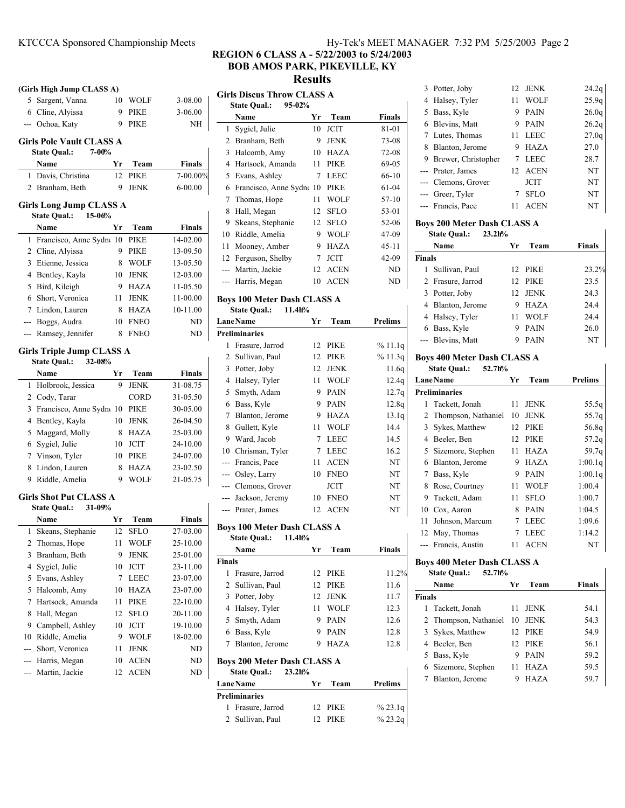5 3-08.00 Sargent, Vanna 10 WOLF 6 3-06.00 Cline, Alyissa 9 PIKE --- Ochoa, Katy 9 PIKE NH

**Name Yr Team Finals** 1 Davis, Christina 12 PIKE 7-00.00% 2 Branham, Beth 9 JENK 6-00.00

**Name Yr Team Finals** 1 Francisco, Anne Sydne 10 PIKE 14-02.00 2 Cline, Alyissa 9 PIKE 13-09.50 3 Etienne, Jessica 8 WOLF 13-05.50 4 Bentley, Kayla 10 JENK 12-03.00 5 Bird, Kileigh 9 HAZA 11-05.50 6 11-00.00 Short, Veronica 11 JENK 7 Lindon, Lauren 8 HAZA 10-11.00 --- Boggs, Audra 10 FNEO ND --- Ramsey, Jennifer 8 FNEO ND

**Name Yr Team Finals** 1 Holbrook, Jessica 9 JENK 31-08.75 2 Cody, Tarar CORD 31-05.50 3 Francisco, Anne Sydne 10 PIKE 30-05.00 4 Bentley, Kayla 10 JENK 26-04.50 5 Maggard, Molly 8 HAZA 25-03.00 6 24-10.00 Sygiel, Julie 10 JCIT 7 24-07.00 Vinson, Tyler 10 PIKE 8 Lindon, Lauren 8 HAZA 23-02.50 9 21-05.75 Riddle, Amelia 9 WOLF

**Name Yr Team Finals** 1 27-03.00 Skeans, Stephanie 12 SFLO 2 Thomas, Hope 11 WOLF 25-10.00 3 Branham, Beth 9 JENK 25-01.00 4 Sygiel, Julie 10 JCIT 23-11.00 5 23-07.00 Evans, Ashley 7 LEEC 5 Halcomb, Amy 10 HAZA 23-07.00 7 22-10.00 Hartsock, Amanda 11 PIKE 8 Hall, Megan 12 SFLO 20-11.00 9 Campbell, Ashley 10 JCIT 19-10.00 10 Riddle, Amelia 9 WOLF 18-02.00 --- Short, Veronica 11 JENK ND --- Harris, Megan 10 ACEN ND --- Martin, Jackie 12 ACEN ND

**(Girls High Jump CLASS A)**

Girls Pole Vault CLASS A<br>State Oual.: 7-00% **State Qual.:** 

**Girls Long Jump CLASS A State Qual.: 15-06%**

**Girls Triple Jump CLASS A State Qual.: 32-08%**

**Girls Shot Put CLASS A State Qual.: 31-09%**

# **REGION 6 CLASS A - 5/22/2003 to 5/24/2003**

**BOB AMOS PARK, PIKEVILLE, KY**

**Results**

|       | Girls Discus Throw CLASS A        |    |             |               |  |  |
|-------|-----------------------------------|----|-------------|---------------|--|--|
|       | <b>State Qual.:</b><br>$95 - 02%$ |    |             |               |  |  |
|       | Name                              | Yг | Team        | <b>Finals</b> |  |  |
| 1     | Sygiel, Julie                     | 10 | <b>JCIT</b> | 81-01         |  |  |
|       | 2 Branham, Beth                   | 9  | JENK        | 73-08         |  |  |
| 3     | Halcomb, Amy                      | 10 | <b>HAZA</b> | 72-08         |  |  |
| 4     | Hartsock, Amanda                  | 11 | <b>PIKE</b> | 69-05         |  |  |
|       | 5 Evans, Ashley                   | 7  | <b>LEEC</b> | 66-10         |  |  |
| 6     | Francisco, Anne Sydne             | 10 | <b>PIKE</b> | $61 - 04$     |  |  |
| 7     | Thomas, Hope                      | 11 | WOLF        | 57-10         |  |  |
| 8     | Hall, Megan                       | 12 | <b>SFLO</b> | 53-01         |  |  |
| 9     | Skeans, Stephanie                 | 12 | <b>SFLO</b> | 52-06         |  |  |
| 10    | Riddle, Amelia                    | 9  | <b>WOLF</b> | 47-09         |  |  |
| 11    | Mooney, Amber                     | 9  | HAZA        | $45 - 11$     |  |  |
|       | 12 Ferguson, Shelby               | 7  | <b>JCIT</b> | 42-09         |  |  |
| $---$ | Martin, Jackie                    | 12 | <b>ACEN</b> | ND            |  |  |
|       | Harris, Megan                     | 10 | <b>ACEN</b> | ND            |  |  |
|       |                                   |    |             |               |  |  |

## **Boys 100 Meter Dash CLASS A**

**State Qual.: 11.4h%**

|   | <b>LaneName</b>      | Yr | Team        | Prelims |
|---|----------------------|----|-------------|---------|
|   | <b>Preliminaries</b> |    |             |         |
| 1 | Frasure, Jarrod      | 12 | PIKE        | %11.1q  |
|   | 2 Sullivan, Paul     | 12 | <b>PIKE</b> | %11.3q  |
| 3 | Potter, Joby         | 12 | <b>JENK</b> | 11.6q   |
| 4 | Halsey, Tyler        | 11 | <b>WOLF</b> | 12.4q   |
| 5 | Smyth, Adam          | 9  | <b>PAIN</b> | 12.7q   |
| 6 | Bass, Kyle           | 9  | <b>PAIN</b> | 12.8q   |
| 7 | Blanton, Jerome      | 9  | HAZA        | 13.1q   |
| 8 | Gullett, Kyle        | 11 | <b>WOLF</b> | 14.4    |
| 9 | Ward, Jacob          | 7  | <b>LEEC</b> | 14.5    |
|   | 10 Chrisman, Tyler   | 7  | <b>LEEC</b> | 16.2    |
|   | --- Francis, Pace    | 11 | <b>ACEN</b> | NT      |
|   | --- Osley, Larry     | 10 | <b>FNEO</b> | NT      |
|   | --- Clemons, Grover  |    | <b>JCIT</b> | NT      |
|   | --- Jackson, Jeremy  | 10 | <b>FNEO</b> | NT      |
|   | --- Prater, James    | 12 | <b>ACEN</b> | NT      |

#### **Boys 100 Meter Dash CLASS A State Qual.: 11.4h%**

|               | State Qual.:<br>11.4h%                                                 |    |             |         |
|---------------|------------------------------------------------------------------------|----|-------------|---------|
|               | Name                                                                   | Yr | Team        | Finals  |
| <b>Finals</b> |                                                                        |    |             |         |
| 1             | Frasure, Jarrod                                                        |    | 12 PIKE     | 11.2%   |
|               | 2 Sullivan, Paul                                                       | 12 | <b>PIKE</b> | 11.6    |
| 3             | Potter, Joby                                                           | 12 | <b>JENK</b> | 11.7    |
| 4             | Halsey, Tyler                                                          | 11 | <b>WOLF</b> | 12.3    |
|               | 5 Smyth, Adam                                                          | 9  | <b>PAIN</b> | 12.6    |
| 6             | Bass, Kyle                                                             | 9  | <b>PAIN</b> | 12.8    |
| $7^{\circ}$   | Blanton, Jerome                                                        | 9  | HAZA        | 12.8    |
|               | <b>Boys 200 Meter Dash CLASS A</b><br><b>State Qual.:</b><br>$23.2h$ % |    |             |         |
|               | <b>LaneName</b>                                                        | Yr | Team        | Prelims |
|               | <b>Preliminaries</b>                                                   |    |             |         |
| 1             | Frasure, Jarrod                                                        | 12 | PIKE        | % 23.1q |
|               | 2 Sullivan, Paul                                                       | 12 | <b>PIKE</b> | % 23.2g |

| 3 Potter, Joby        |    | 12 JENK     | 24.2q |
|-----------------------|----|-------------|-------|
| 4 Halsey, Tyler       | 11 | <b>WOLF</b> | 25.9q |
| 5 Bass, Kyle          | 9  | <b>PAIN</b> | 26.0q |
| 6 Blevins, Matt       | 9  | <b>PAIN</b> | 26.2q |
| 7 Lutes, Thomas       |    | 11 LEEC     | 27.0q |
| 8 Blanton, Jerome     | 9  | <b>HAZA</b> | 27.0  |
| 9 Brewer, Christopher |    | LEEC        | 28.7  |
| --- Prater, James     |    | 12 ACEN     | NT    |
| --- Clemons, Grover   |    | <b>JCIT</b> | NT    |
| --- Greer, Tyler      |    | <b>SFLO</b> | NT    |
| --- Francis, Pace     | 11 | <b>ACEN</b> | NT    |
|                       |    |             |       |

### **Boys 200 Meter Dash CLASS A**

|               | $23.2h$ %<br><b>State Qual.:</b> |    |             |               |
|---------------|----------------------------------|----|-------------|---------------|
|               | Name                             | Yг | Team        | <b>Finals</b> |
| <b>Finals</b> |                                  |    |             |               |
| 1             | Sullivan, Paul                   |    | 12 PIKE     | 23.2%         |
|               | 2 Frasure, Jarrod                |    | 12 PIKE     | 23.5          |
|               | 3 Potter, Joby                   |    | 12 JENK     | 24.3          |
|               | 4 Blanton, Jerome                | 9  | <b>HAZA</b> | 24.4          |
|               | 4 Halsey, Tyler                  | 11 | WOLF        | 24.4          |
|               | 6 Bass, Kyle                     | 9  | <b>PAIN</b> | 26.0          |
|               | --- Blevins, Matt                | 9  | PAIN        | NT            |

#### **Boys 400 Meter Dash CLASS A State Qual.: 52.7h%**

|    | <b>LaneName</b>       | Yг | Team        | <b>Prelims</b>    |
|----|-----------------------|----|-------------|-------------------|
|    | <b>Preliminaries</b>  |    |             |                   |
| 1  | Tackett, Jonah        | 11 | <b>JENK</b> | 55.5q             |
|    | 2 Thompson, Nathaniel | 10 | <b>JENK</b> | 55.7q             |
| 3  | Sykes, Matthew        | 12 | PIKE        | 56.8q             |
| 4  | Beeler, Ben           | 12 | PIKE        | 57.2q             |
| 5  | Sizemore, Stephen     | 11 | HAZA        | 59.7 <sub>q</sub> |
| 6  | Blanton, Jerome       | 9  | <b>HAZA</b> | 1:00.1q           |
| 7  | Bass, Kyle            | 9  | <b>PAIN</b> | 1:00.1q           |
| 8  | Rose, Courtney        | 11 | <b>WOLF</b> | 1:00.4            |
| 9  | Tackett, Adam         | 11 | <b>SFLO</b> | 1:00.7            |
|    | 10 Cox, Aaron         | 8  | <b>PAIN</b> | 1:04.5            |
| 11 | Johnson, Marcum       | 7  | <b>LEEC</b> | 1:09.6            |
|    | 12 May, Thomas        | 7  | LEEC        | 1:14.2            |
|    | --- Francis, Austin   | 11 | ACEN        | NT                |

## **Boys 400 Meter Dash CLASS A**

|               | 52.7h%<br><b>State Qual.:</b> |    |             |        |
|---------------|-------------------------------|----|-------------|--------|
|               | Name                          | Уr | Team        | Finals |
| <b>Finals</b> |                               |    |             |        |
|               | 1 Tackett, Jonah              | 11 | <b>JENK</b> | 54.1   |
|               | 2 Thompson, Nathaniel         | 10 | JENK        | 54.3   |
|               | 3 Sykes, Matthew              |    | 12 PIKE     | 54.9   |
|               | 4 Beeler, Ben                 |    | 12 PIKE     | 56.1   |
|               | 5 Bass, Kyle                  | 9  | <b>PAIN</b> | 59.2   |
|               | 6 Sizemore, Stephen           | 11 | <b>HAZA</b> | 59.5   |
|               | Blanton, Jerome               | 9  | HAZA        | 59.7   |
|               |                               |    |             |        |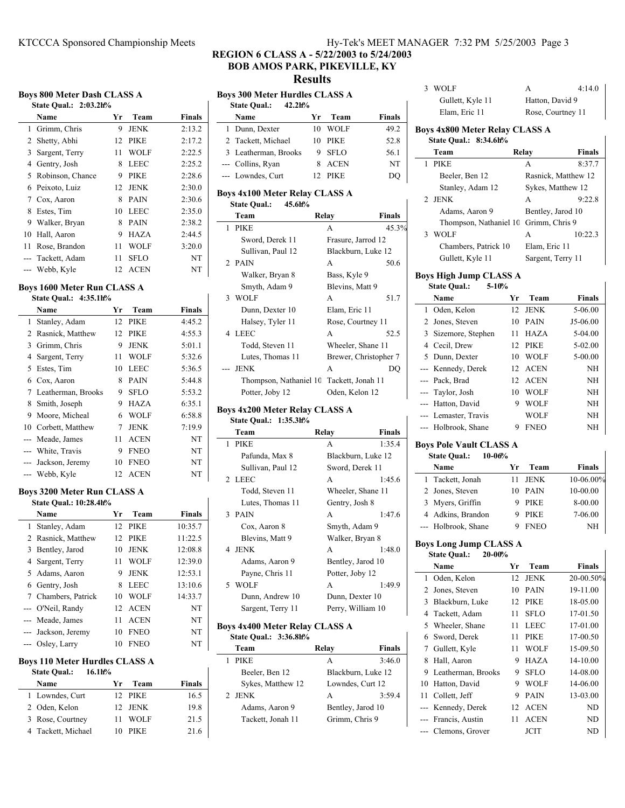# **Boys 800 Meter Dash CLASS A**

|              | State Oual.: 2:03.2h% |    |             |        |
|--------------|-----------------------|----|-------------|--------|
|              | Name                  | Yr | Team        | Finals |
| $\mathbf{1}$ | Grimm, Chris          | 9  | <b>JENK</b> | 2:13.2 |
|              | 2 Shetty, Abhi        | 12 | <b>PIKE</b> | 2:17.2 |
| 3            | Sargent, Terry        | 11 | <b>WOLF</b> | 2:22.5 |
| 4            | Gentry, Josh          | 8  | LEEC        | 2:25.2 |
|              | 5 Robinson, Chance    | 9  | <b>PIKE</b> | 2:28.6 |
|              | 6 Peixoto, Luiz       | 12 | <b>JENK</b> | 2:30.0 |
|              | 7 Cox, Aaron          | 8  | <b>PAIN</b> | 2:30.6 |
| 8            | Estes, Tim            | 10 | <b>LEEC</b> | 2:35.0 |
| 9.           | Walker, Bryan         | 8  | <b>PAIN</b> | 2:38.2 |
| 10           | Hall, Aaron           | 9  | <b>HAZA</b> | 2:44.5 |
| 11           | Rose, Brandon         | 11 | <b>WOLF</b> | 3:20.0 |
|              | Tackett, Adam         | 11 | <b>SFLO</b> | NT     |
|              | Webb, Kyle            | 12 | <b>ACEN</b> | NT     |

## **Boys 1600 Meter Run CLASS A State Qual.: 4:35.1h%**

|    | Name                 | Yr | Team        | Finals |
|----|----------------------|----|-------------|--------|
| 1. | Stanley, Adam        |    | 12 PIKE     | 4:45.2 |
|    | 2 Rasnick, Matthew   | 12 | <b>PIKE</b> | 4:55.3 |
|    | 3 Grimm, Chris       | 9  | <b>JENK</b> | 5:01.1 |
| 4  | Sargent, Terry       | 11 | <b>WOLF</b> | 5:32.6 |
| 5  | Estes, Tim           | 10 | <b>LEEC</b> | 5:36.5 |
|    | 6 Cox, Aaron         | 8  | <b>PAIN</b> | 5:44.8 |
|    | 7 Leatherman, Brooks | 9  | <b>SFLO</b> | 5:53.2 |
| 8  | Smith, Joseph        | 9  | HAZA        | 6:35.1 |
| 9  | Moore, Micheal       | 6  | <b>WOLF</b> | 6:58.8 |
|    | 10 Corbett, Matthew  | 7  | <b>JENK</b> | 7:19.9 |
|    | --- Meade, James     | 11 | <b>ACEN</b> | NT     |
|    | --- White, Travis    | 9  | <b>FNEO</b> | NT     |
|    | --- Jackson, Jeremy  | 10 | <b>FNEO</b> | NT     |
|    | --- Webb, Kyle       | 12 | <b>ACEN</b> | NT     |

### **Boys 3200 Meter Run CLASS A State Qual.: 10:28.4h%**

| Name | Уr                                                                                                                                                                                                                           | Team        | Finals             |
|------|------------------------------------------------------------------------------------------------------------------------------------------------------------------------------------------------------------------------------|-------------|--------------------|
|      |                                                                                                                                                                                                                              |             | 10:35.7            |
|      | 12.                                                                                                                                                                                                                          | <b>PIKE</b> | 11:22.5            |
|      | 10                                                                                                                                                                                                                           | <b>JENK</b> | 12:08.8            |
|      | 11                                                                                                                                                                                                                           | <b>WOLF</b> | 12:39.0            |
|      | 9                                                                                                                                                                                                                            | <b>JENK</b> | 12:53.1            |
|      | 8                                                                                                                                                                                                                            | <b>LEEC</b> | 13:10.6            |
|      | 10                                                                                                                                                                                                                           | <b>WOLF</b> | 14:33.7            |
|      |                                                                                                                                                                                                                              |             | NT                 |
|      | 11                                                                                                                                                                                                                           | <b>ACEN</b> | NT                 |
|      | 10                                                                                                                                                                                                                           | <b>FNEO</b> | NT                 |
|      | 10                                                                                                                                                                                                                           | <b>FNEO</b> | NT                 |
|      | 1 Stanley, Adam<br>2 Rasnick, Matthew<br>3 Bentley, Jarod<br>4 Sargent, Terry<br>5 Adams, Aaron<br>6 Gentry, Josh<br>7 Chambers, Patrick<br>--- O'Neil, Randy<br>--- Meade, James<br>--- Jackson, Jeremy<br>--- Osley, Larry |             | 12 PIKE<br>12 ACEN |

# **Boys 110 Meter Hurdles CLASS A**

| <b>State Qual.:</b><br>$16.1h$ % |    |         |        |  |
|----------------------------------|----|---------|--------|--|
| Name                             | ٧r | Team    | Finals |  |
| 1 Lowndes, Curt                  |    | 12 PIKE | 16.5   |  |
| 2 Oden, Kelon                    |    | 12 JENK | 19.8   |  |
| 3 Rose, Courtney                 | 11 | - WOLF  | 21.5   |  |
| 4 Tackett, Michael               | 10 | PIK E   | 21.6   |  |

# KTCCCA Sponsored Championship Meets Hy-Tek's MEET MANAGER 7:32 PM 5/25/2003 Page 3

# **REGION 6 CLASS A - 5/22/2003 to 5/24/2003 BOB AMOS PARK, PIKEVILLE, KY**

**Results**

|       | <b>Boys 300 Meter Hurdles CLASS A</b>                          |    |                       |               |
|-------|----------------------------------------------------------------|----|-----------------------|---------------|
|       | <b>State Qual.:</b><br>42.2h%                                  |    |                       |               |
|       | Name                                                           | Yr | Team                  | <b>Finals</b> |
| 1     | Dunn, Dexter                                                   | 10 | WOLF                  | 49.2          |
|       | 2 Tackett, Michael                                             | 10 | PIKE                  | 52.8          |
|       | 3 Leatherman, Brooks                                           | 9  | <b>SFLO</b>           | 56.1          |
|       | --- Collins, Ryan                                              | 8  | <b>ACEN</b>           | NT            |
|       | --- Lowndes, Curt                                              | 12 | <b>PIKE</b>           | DQ            |
|       | <b>Boys 4x100 Meter Relay CLASS A</b>                          |    |                       |               |
|       | <b>State Qual.:</b><br>45.6h%                                  |    |                       |               |
|       | Team                                                           |    | Relay                 | Finals        |
|       | 1 PIKE                                                         |    | А                     | 45.3%         |
|       | Sword, Derek 11                                                |    | Frasure, Jarrod 12    |               |
|       | Sullivan, Paul 12                                              |    | Blackburn, Luke 12    |               |
|       | 2 PAIN                                                         |    | A                     | 50.6          |
|       | Walker, Bryan 8                                                |    | Bass, Kyle 9          |               |
|       | Smyth, Adam 9                                                  |    | Blevins, Matt 9       |               |
| 3     | <b>WOLF</b>                                                    |    | A                     | 51.7          |
|       | Dunn, Dexter 10                                                |    | Elam, Eric 11         |               |
|       | Halsey, Tyler 11                                               |    | Rose, Courtney 11     |               |
| 4     | <b>LEEC</b>                                                    |    | A                     | 52.5          |
|       | Todd, Steven 11                                                |    | Wheeler, Shane 11     |               |
|       | Lutes, Thomas 11                                               |    | Brewer, Christopher 7 |               |
| $- -$ | <b>JENK</b>                                                    |    | A                     | DQ            |
|       | Thompson, Nathaniel 10 Tackett, Jonah 11                       |    |                       |               |
|       | Potter, Joby 12                                                |    | Oden, Kelon 12        |               |
|       | Boys 4x200 Meter Relay CLASS A                                 |    |                       |               |
|       | State Qual.: 1:35.3h%                                          |    |                       |               |
|       | Team                                                           |    | Relay                 | Finals        |
| 1     | <b>PIKE</b>                                                    |    | A                     | 1:35.4        |
|       | Pafunda, Max 8                                                 |    | Blackburn, Luke 12    |               |
|       | Sullivan, Paul 12                                              |    | Sword, Derek 11       |               |
| 2     | <b>LEEC</b>                                                    |    | A                     | 1:45.6        |
|       | Todd, Steven 11                                                |    | Wheeler, Shane 11     |               |
|       | Lutes, Thomas 11                                               |    | Gentry, Josh 8        |               |
| 3     | <b>PAIN</b>                                                    |    | A                     | 1:47.6        |
|       | Cox, Aaron 8                                                   |    | Smyth, Adam 9         |               |
|       | Blevins, Matt 9                                                |    | Walker, Bryan 8       |               |
|       | 4 JENK                                                         |    | А                     | 1:48.0        |
|       | Adams, Aaron 9                                                 |    | Bentley, Jarod 10     |               |
|       | Payne, Chris 11                                                |    | Potter, Joby 12       |               |
| 5     | <b>WOLF</b>                                                    |    | А                     | 1:49.9        |
|       | Dunn, Andrew 10                                                |    | Dunn, Dexter 10       |               |
|       | Sargent, Terry 11                                              |    | Perry, William 10     |               |
|       |                                                                |    |                       |               |
|       | <b>Boys 4x400 Meter Relay CLASS A</b><br>State Qual.: 3:36.8h% |    |                       |               |

| Team              | Relav             | <b>Finals</b>      |
|-------------------|-------------------|--------------------|
| <b>PIKE</b>       | A                 | 3:46.0             |
| Beeler, Ben 12    |                   | Blackburn, Luke 12 |
| Sykes, Matthew 12 | Lowndes, Curt 12  |                    |
| 2 JENK            | A                 | 3:59.4             |
| Adams, Aaron 9    | Bentley, Jarod 10 |                    |
| Tackett, Jonah 11 | Grimm, Chris 9    |                    |
|                   |                   |                    |

| 3<br>WOLF                                                          |    | А                   | 4:14.0              |  |
|--------------------------------------------------------------------|----|---------------------|---------------------|--|
| Gullett, Kyle 11                                                   |    | Hatton, David 9     |                     |  |
| Elam, Eric 11                                                      |    | Rose, Courtney 11   |                     |  |
| <b>Boys 4x800 Meter Relay CLASS A</b><br>State Qual.: 8:34.6h%     |    |                     |                     |  |
| Team                                                               |    | Relay               | <b>Finals</b>       |  |
| 1<br>PIKE                                                          |    | A                   | 8:37.7              |  |
| Beeler, Ben 12                                                     |    |                     | Rasnick, Matthew 12 |  |
| Stanley, Adam 12                                                   |    | Sykes, Matthew 12   |                     |  |
| 2<br><b>JENK</b>                                                   |    | A                   | 9:22.8              |  |
| Adams, Aaron 9                                                     |    | Bentley, Jarod 10   |                     |  |
| Thompson, Nathaniel 10                                             |    | Grimm, Chris 9      |                     |  |
| 3<br>WOLF                                                          |    | A                   | 10:22.3             |  |
| Chambers, Patrick 10                                               |    | Elam, Eric 11       |                     |  |
| Gullett, Kyle 11                                                   |    | Sargent, Terry 11   |                     |  |
|                                                                    |    |                     |                     |  |
| Boys High Jump CLASS A                                             |    |                     |                     |  |
| <b>State Qual.:</b><br>$5-10%$                                     |    |                     |                     |  |
| Name                                                               | Yr | Team                | <b>Finals</b>       |  |
| 1 Oden, Kelon                                                      | 12 | <b>JENK</b>         | 5-06.00             |  |
| Jones, Steven<br>2                                                 | 10 | PAIN                | $J5-06.00$          |  |
| 3<br>Sizemore, Stephen                                             | 11 | HAZA                | 5-04.00             |  |
| 4<br>Cecil, Drew                                                   | 12 | PIKE                | 5-02.00             |  |
| 5<br>Dunn, Dexter                                                  | 10 | WOLF                | 5-00.00             |  |
| --- Kennedy, Derek                                                 | 12 | <b>ACEN</b>         | NΗ                  |  |
| --- Pack, Brad                                                     | 12 | <b>ACEN</b>         | NH                  |  |
| --- Taylor, Josh                                                   | 10 | WOLF                | NΗ                  |  |
| --- Hatton, David                                                  | 9  | WOLF                | NΗ                  |  |
| --- Lemaster, Travis                                               |    | WOLF                | NΗ                  |  |
| Holbrook, Shane<br>$---$                                           | 9  | <b>FNEO</b>         | <b>NH</b>           |  |
| <b>Boys Pole Vault CLASS A</b>                                     |    |                     |                     |  |
| <b>State Qual.:</b><br>$10 - 06%$                                  |    |                     |                     |  |
| Name                                                               | Yr | Team                | <b>Finals</b>       |  |
| 1<br>Tackett, Jonah                                                | 11 | JENK                | 10-06.00%           |  |
| 2<br>Jones, Steven                                                 | 10 | PAIN                | 10-00.00            |  |
| 3<br>Myers, Griffin                                                | 9  | <b>PIKE</b>         | 8-00.00             |  |
| 4 Adkins, Brandon                                                  | 9  | PIKE                | 7-06.00             |  |
| Holbrook, Shane<br><u>.</u>                                        | 9  | <b>FNEO</b>         | NΗ                  |  |
|                                                                    |    |                     |                     |  |
| <b>Boys Long Jump CLASS A</b><br><b>State Qual.:</b><br>$20 - 00%$ |    |                     |                     |  |
| Name                                                               | Yr |                     | <b>Finals</b>       |  |
| Oden, Kelon<br>1                                                   | 12 | Team<br><b>JENK</b> | 20-00.50%           |  |
| 2<br>Jones, Steven                                                 | 10 | PAIN                | 19-11.00            |  |
| 3<br>Blackburn, Luke                                               | 12 | PIKE                | 18-05.00            |  |
| 4<br>Tackett, Adam                                                 | 11 | SFLO                | 17-01.50            |  |
| 5<br>Wheeler, Shane                                                | 11 | <b>LEEC</b>         | 17-01.00            |  |
| Sword, Derek<br>6                                                  | 11 | <b>PIKE</b>         | 17-00.50            |  |
|                                                                    |    |                     |                     |  |

| 4 Tackett, Adam      | 11 | <b>SFLO</b> | 17-01.50 |
|----------------------|----|-------------|----------|
| 5 Wheeler, Shane     | 11 | LEEC        | 17-01.00 |
| 6 Sword, Derek       | 11 | <b>PIKE</b> | 17-00.50 |
| 7 Gullett, Kyle      | 11 | <b>WOLF</b> | 15-09.50 |
| 8 Hall, Aaron        | 9  | <b>HAZA</b> | 14-10.00 |
| 9 Leatherman, Brooks | 9. | <b>SFLO</b> | 14-08.00 |
| 10 Hatton, David     | 9. | <b>WOLF</b> | 14-06.00 |
| 11 Collett, Jeff     |    | 9 PAIN      | 13-03.00 |
| --- Kennedy, Derek   |    | 12 ACEN     | ND       |
| --- Francis, Austin  |    | 11 ACEN     | ND       |
| --- Clemons, Grover  |    | JCIT        | ND       |